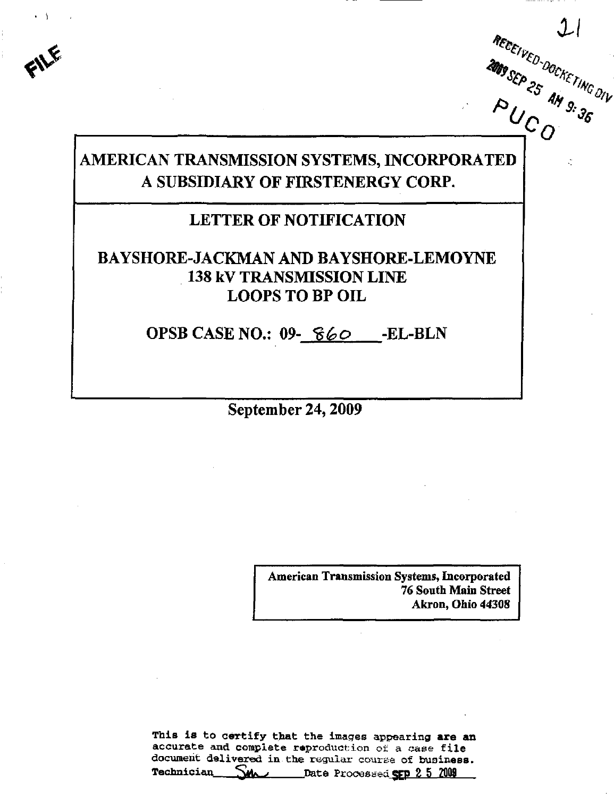# AMERICAN TRANSMISSION SYSTEMS, INCORPORATED A SUBSIDIARY OF FIRSTENERGY CORP.

 $\mathbf{v}$ 

## LETTER OF NOTIFICATION

## BAYSHORE-JACKMAN AND BAYSHORE-LEMOYNE 138 kV TRANSMISSION LINE LOOPS TO BP OIL

OPSB CASE NO.: 09- 860 - EL-BLN

September 24,2009

American Transmission Systems, Incorporated 76 South Main Street Akron, Ohio 44308

This is to certify that the images appearing are an accurate and complete reproduction of a case file document delivered in the regular course of business. Technician **MA** Date Processed GEP 2 5 2009

 $\bm{O}^+$ 

'/J.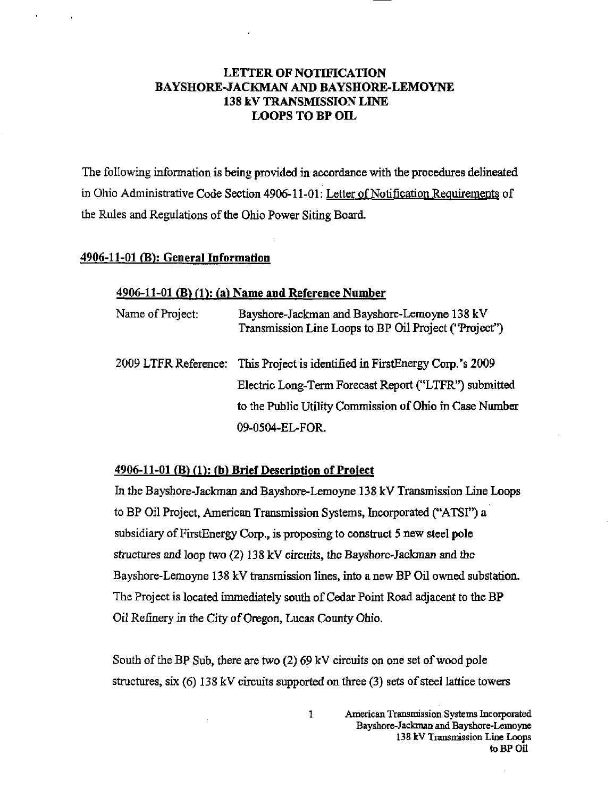## LETTER OF NOTIFICATION BAYSHORE-JACKMAN AND BAYSHORE-LEMOYNE 138 kV TRANSMISSION LINE LOOPS TO BP OIL

The following information is being provided in accordance with the procedures delineated in Ohio Administrative Code Section 4906-11-01: Letter of Notification Requirements of the Rules and Regulations of the Ohio Power Siting Board.

#### 4906-11-01 (B): General Information

#### $4906-11-01$  (B) (1): (a) Name and Reference Number

| Name of Project:     | Bayshore-Jackman and Bayshore-Lemoyne 138 kV<br>Transmission Line Loops to BP Oil Project ("Project") |
|----------------------|-------------------------------------------------------------------------------------------------------|
| 2009 LTFR Reference: | This Project is identified in FirstEnergy Corp.'s 2009                                                |
|                      | Electric Long-Term Forecast Report ("LTFR") submitted                                                 |
|                      | to the Public Utility Commission of Ohio in Case Number                                               |
|                      | 09-0504-EL-FOR.                                                                                       |

### $4906-11-01$  (B) (1): (b) Brief Description of Project

In the Bayshore-Jackman and Bayshore-Lemoyne 138 kV Transmission Line Loops to BP Oil Project, American Transmission Systems, Incorporated ("ATSI") a subsidiary of FirstEnergy Corp., is proposing to construct 5 new steel pole structures and loop two (2) 138 kV circuits, the Bayshore-Jackman and the Bayshore-Lemoyne 138 kV transmission lines, into a new BP Oil owned substation. The Project is located immediately south of Cedar Point Road adjacent to the BP Oil Refinery in the City of Oregon, Lucas County Ohio.

South of the BP Sub, there are two (2) 69 kV circuits on one set of wood pole structures, six (6) 138 kV circuits supported on three (3) sets of steel lattice towers

1 American Transmission Systems Incorporated Bayshore-Jackman and Bayshore-Lemoyne 138 kV Transmission Line Loops to BP Oil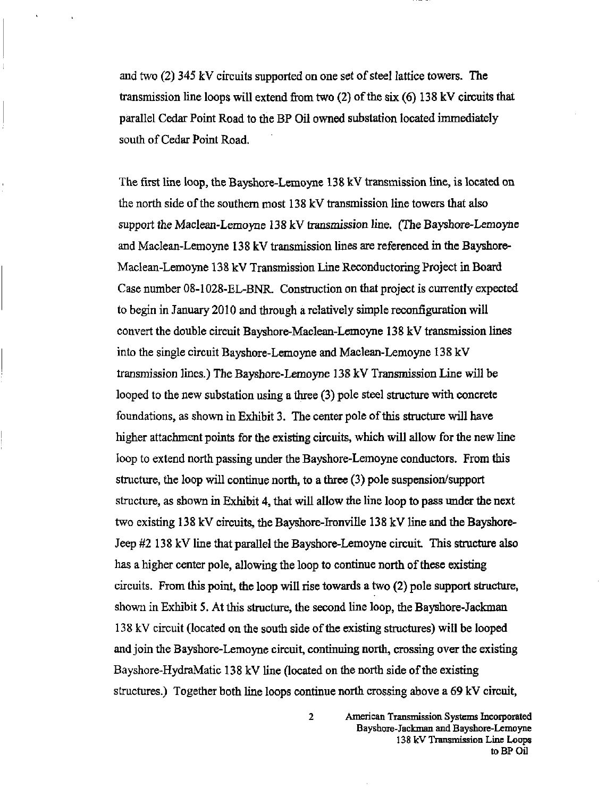and two (2) 345 kV circuits supported on one set of steel lattice towers. The transmission line loops will extend from two (2) of the six (6) 138 kV circuits that parallel Cedar Point Road to the BP Oil owned substation located immediately south of Cedar Point Road.

The first line loop, the Bayshore-Lemoyne 138 kV transmission line, is located on the north side of the southern most 138 kV transmission line towers that also support the Maclean-Lemoyne 138 kV transmission line. (The Bayshore-Lemoyne and Maclean-Lemoyne 138 kV transmission lines are referenced in the Bayshore-Maclean-Lemoyne 138 kV Transmission Line Reconductoring Project in Board Case number 08-1028-EL-BNR. Construction on that project is currently expected to begin in January 2010 and through a relatively simple reconfiguration will convert the double circuit Bayshore-Maclean-Lemoyne 138 kV transmission lines into the single circuit Bayshore-Lemoyne and Maclean-Lemoyne 138 kV transmission lines.) The Bayshore-Lemoyne 138 kV Transmission Line will be looped to the new substation using a three (3) pole steel structure with concrete foundations, as shown in Exhibit 3. The center pole of this structure will have higher attachment points for the existing circuits, which will allow for the new line loop to extend north passing under the Bayshore-Lemoyne conductors. From this structure, the loop will continue north, to a three (3) pole suspension/support structure, as shown in Exhibit 4, that will allow the line loop to pass under the next two existing 138 kV circuits, the Bayshore-Ironville 138 kV line and the Bayshore-Jeep #2 138 kV line that parallel the Bayshore-Lemoyne circuit. This structure also has a higher center pole, allowing the loop to continue north of these existing circuits. From this point, the loop will rise towards a two (2) pole support structure, shown in Exhibit 5. At this structure, the second line loop, the Bayshore-Jackman 138 kV circuit (located on the south side of the existing structures) will be looped and join the Bayshore-Lemoyne circuit, continuing north, crossing over the existing Bayshore-HydraMatic 138 kV line (located on the north side of the existing structures.) Together both line loops continue north crossing above a 69 kV circuit,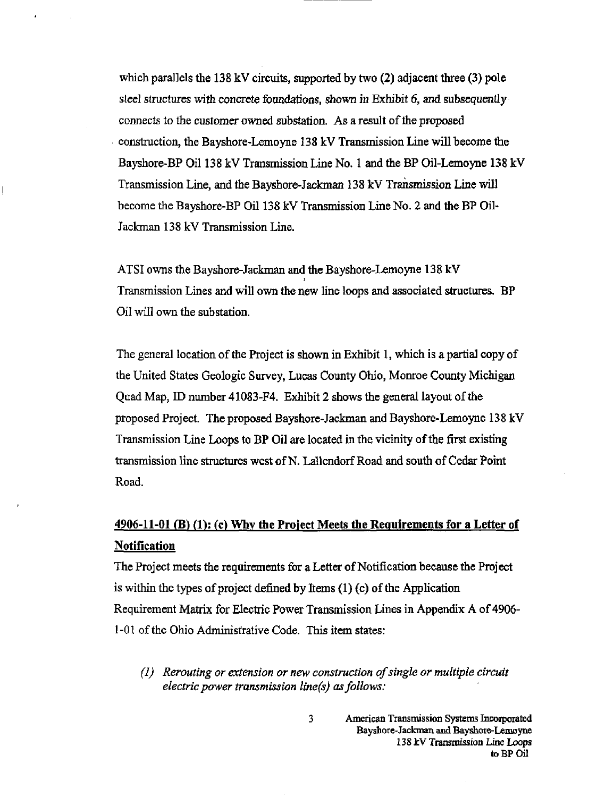which parallels the 138 kV circuits, supported by two (2) adjacent three (3) pole steel structures with concrete foundations, shown in Exhibit 6, and subsequently connects to the customer owned substation. As a result of the proposed construction, the Bayshore-Lemoyne 138 kV Transmission Line will become the Bayshore-BP Oil 138 kV Transmission Line No. 1 and the BP Oil-Lemoyne 138 kV Transmission Line, and the Bayshore-Jackman 138 kV Transmission Line will become the Bayshore-BP Oil 138 kV Transmission Line No. 2 and the BP Oil-Jackman 138 kV Transmission Line.

ATSI owns the Bayshore-Jackman and the Bayshore-Lemoyne 138 kV Transmission Lines and will own the new line loops and associated structures. BP Oil will own the substation.

The general location of the Project is shown in Exhibit 1, which is a partial copy of the United States Geologic Survey, Lucas County Ohio, Monroe County Michigan Quad Map, ID number 41083-F4. Exhibit 2 shows the general layout of the proposed Project, The proposed Bayshore-Jackman and Bayshore-Lemoyne 138 kV Transmission Line Loops to BP Oil are located in the vicinity of the first existing transmission line structures west of N. Lallendorf Road and south of Cedar Pomt Road.

## $4906-11-01$  (B) (1): (c) Why the Project Meets the Requirements for a Letter of Notification

The Project meets the requirements for a Letter of Notification because the Project is within the types of project defined by Items (1) (e) of the Application Requirement Matrix for Electric Power Transmission Lines in Appendix A of 4906- 1-01 of the Ohio Administrative Code. This item states:

(I) Rerouting or extension or new construction of single or multiple circuit electric power transmission line(s) as follows:

 $\overline{\mathbf{3}}$ 

American Transmission Systems Incorporated Bayshore-Jackman and Bayshore-Lemoyne 138 kV Trammission Line Loops toBPOil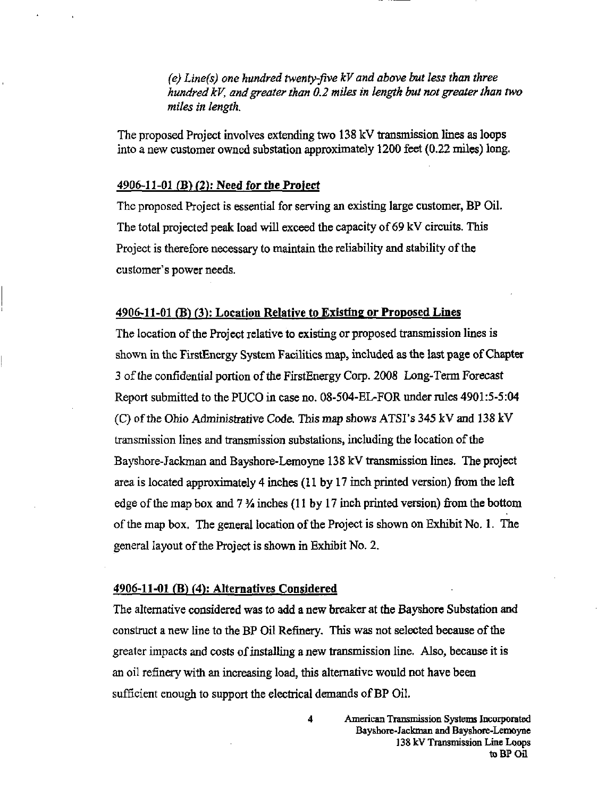(e) Line(s) one hundred twenty-five  $kV$  and above but less than three hundred kV, and greater than 0.2 miles in length but not greater than two miles in length.

The proposed Project involves extending two 138 kV transmission lines as loops into a new customer owned substation approximately 1200 feet (0.22 miles) long.

#### 4906-11-01 (B) (2): Need for the Project

The proposed Project is essential for serving an existing large customer, BP Oil. The total projected peak load will exceed the capacity of 69 kV circuits. This Project is therefore necessary to maintain the reliability and stability of the customer's power needs.

#### 4906-11-01 (B) (3): Location Relative to Existing or Proposed Lines

The location of the Project relative to existing or proposed transmission lines is shown in the FirstEnergy System Facilities map, included as the last page of Chapter 3 of the confidential portion of the FirstEnergy Corp. 2008 Long-Term Forecast Report submitted to the PUCO in case no. 08-504-EL-FOR under rules 4901:5-5:04 (C) of the Ohio Administrative Code. This map shows ATSI's 345 kV and 138 kV transmission lines and transmission substations, including the location of the Bayshore-Jackman and Bayshore-Lemoyne 138 kV transmission Imes. The project area is located approximately 4 inches (11 by 17 inch printed version) from the left edge of the map box and 7  $\frac{1}{4}$  inches (11 by 17 inch printed version) from the bottom of the map box. The general location of the Project is shown on Exhibit No. 1. The general layout of the Project is shown in Exhibit No. 2.

#### $4906-11-01$  (B) (4): Alternatives Considered

The alternative considered was to add a new breaker at the Bayshore Substation and construct a new line to the BP Oil Refinery. This was not selected because of the greater impacts and costs of installing a new transmission line. Also, because it is an oil refinery with an increasing load, this alternative would not have been sufficient enough to support the electrical demands of BP Oil.

> 4 American Transmission Systems Incorporated Bayshore-Jackman and Bayshore-Lemoyne 138 kV Transmission Line Loops toBPOil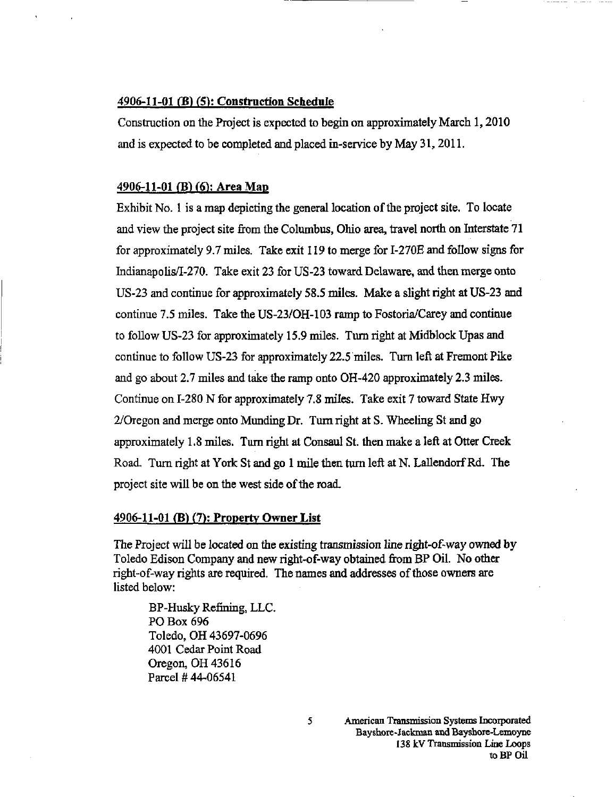#### 4906-11-01 (B) (5): Construction Schedule

Constmction on the Project is expected to begin on approximately March 1,2010 and is expected to be completed and placed in-service by May 31,2011.

#### 4906-11-01 (B) (6): Area Map

Exhibit No. 1 is a map depicting the general location of the project site. To locate and view the project site from the Columbus, Ohio area, travel north on Interstate 71 for approximately 9.7 miles. Take exit 119 to merge for I-270E and follow signs for Indianapolis/I-270. Take exit 23 for US-23 toward Delaware, and then merge onto US-23 and continue for approximately 58.5 miles. Make a slight right at US-23 and continue 7.5 miles. Take the US-23/OH-103 ramp to Fostoria/Carey and continue to follow US-23 for approximately 15.9 miles. Turn right at Midblock Upas and continue to follow US-23 for approximately 22.5 miles. Turn left at Fremont Pike and go about 2.7 miles and take the ramp onto OH-420 approximately 2.3 miles. Continue on 1-280 N for approximately 7.8 miles. Take exit 7 toward State Hwy 2/Oregon and merge onto Munding Dr. Turn right at S. Wheeling St and go approximately 1.8 miles. Turn right at Consaul St. then make a left at Otter Creek Road. Turn right at York St and go 1 mile then turn left at N. Lallendorf Rd. The project site will be on the west side of the road.

#### 4906-11-01 (B) (7): Property Owner List

The Project will be located on the existing transmission line right-of-way owned by Toledo Edison Company and new right-of-way obtained from BP Oil. No other right-of-way rights are required. The names and addresses of those owners are listed below:

BP-Husky Refining, LLC. PO Box 696 Toledo, OH 43697-0696 4001 Cedar Point Road Oregon, OH 43616 Parcel #44-06541

5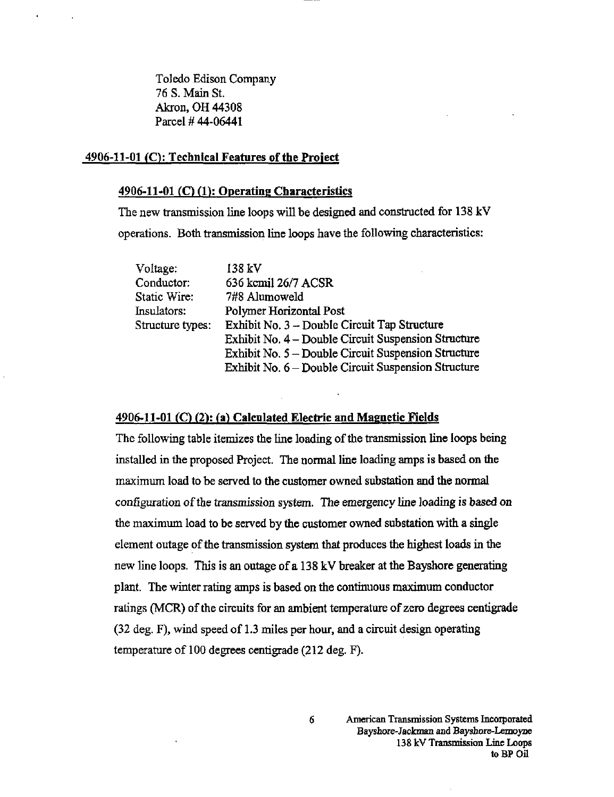Toledo Edison Company 76 S. Mam St. Akron, OH 44308 Parcel #44-06441

#### 4906-11-01 (C): Technical Features of the Project

#### 4906-11-01 (C) (1): Operating Characteristics

The new transmission line loops will be designed and constructed for 138 kV operations. Both transmission line loops have the following characteristics:

Voltage: 138 kV Conductor: 636 kcmil 26/7 ACSR Static Wire: 7#8 Alumoweld Insulators: Polymer Horizontal Post Structure types: Exhibit No. 3 - Double Circuit Tap Structure Exhibit No. 4 - Double Circuit Suspension Structure Exhibit No. 5 - Double Circuit Suspension Structure Exhibit No. 6 - Double Circuit Suspension Structure

#### $4906-11-01$  (C) (2): (a) Calculated Electric and Magnetic Fields

The followmg table itemizes the line loading of the transmission line loops being installed in the proposed Project. The normal line loading amps is based on the maximum load to be served to the customer owned substation and the normal configuration of the transmission system. The emergency line loading is based on the maximum load to be served by the customer owned substation with a single element outage of the transmission system that produces the highest loads in the new line loops. This is an outage of a 138 kV breaker at the Bayshore generating plant. The winter rating amps is based on the continuous maximum conductor ratings (MCR) of the circuits for an ambient temperature of zero degrees centigrade  $(32 \text{ deg. F})$ , wind speed of 1.3 miles per hour, and a circuit design operating temperature of 100 degrees centigrade (212 deg. F).

6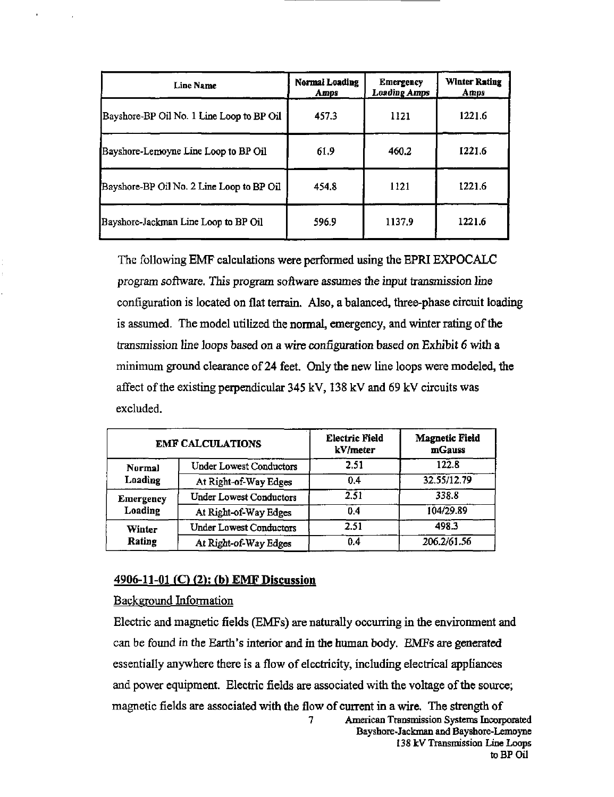| Line Name                                 | Normal Loading<br>Amps | <b>Emergency</b><br><b>Loading Amps</b> | <b>Winter Rating</b><br>Amps |
|-------------------------------------------|------------------------|-----------------------------------------|------------------------------|
| Bayshore-BP Oil No. 1 Line Loop to BP Oil | 457.3                  | 1121                                    | 1221.6                       |
| Bayshore-Lemoyne Line Loop to BP Oil      | 61.9                   | 460.2                                   | 1221.6                       |
| Bayshore-BP Oil No. 2 Line Loop to BP Oil | 454.8                  | 1121                                    | 1221.6                       |
| Bayshore-Jackman Line Loop to BP Oil      | 596.9                  | 1137.9                                  | 1221.6                       |

The following EMF calculations were performed using the EPRI EXPOCALC program software. This program software assumes the input transmission line configuration is located on flat terrain. Also, a balanced, three-phase circuit loading is assumed. The model utilized the normal, emergency, and winter rating of the transmission line loops based on a wire configuration based on Exhibit 6 with a minimum ground clearance of 24 feet. Only the new line loops were modeled, the affect of the existing perpendicular 345 kV, 138 kV and 69 kV circuits was excluded.

| <b>EMF CALCULATIONS</b>     |                                | <b>Electric Field</b><br>kV/meter | <b>Magnetic Field</b><br>mGauss |
|-----------------------------|--------------------------------|-----------------------------------|---------------------------------|
| <b>Normal</b>               | <b>Under Lowest Conductors</b> | 2.51                              | 122.8                           |
| Loading                     | At Right-of-Way Edges          | 0.4                               | 32.55/12.79                     |
| <b>Emergency</b><br>Loading | <b>Under Lowest Conductors</b> | 2.51                              | 338.8                           |
|                             | At Right-of-Way Edges          | 0.4                               | 104/29.89                       |
| Winter<br>Rating            | <b>Under Lowest Conductors</b> | 2.51                              | 498.3                           |
|                             | At Right-of-Way Edges          | 0.4                               | 206.2/61.56                     |

#### 4906-11-01 (C) (2); (b) EMF Discussion

#### Background Information

Electric and magnetic fields (EMFs) are naturally occiuring in the environment and can be found in the Earth's interior and in the human body. EMFs are generated essentially anywhere there is a flow of electricity, including electrical appliances and power equipment. Electric fields are associated with the voltage of the source; magnetic fields are associated with the flow of current in a wire. The strength of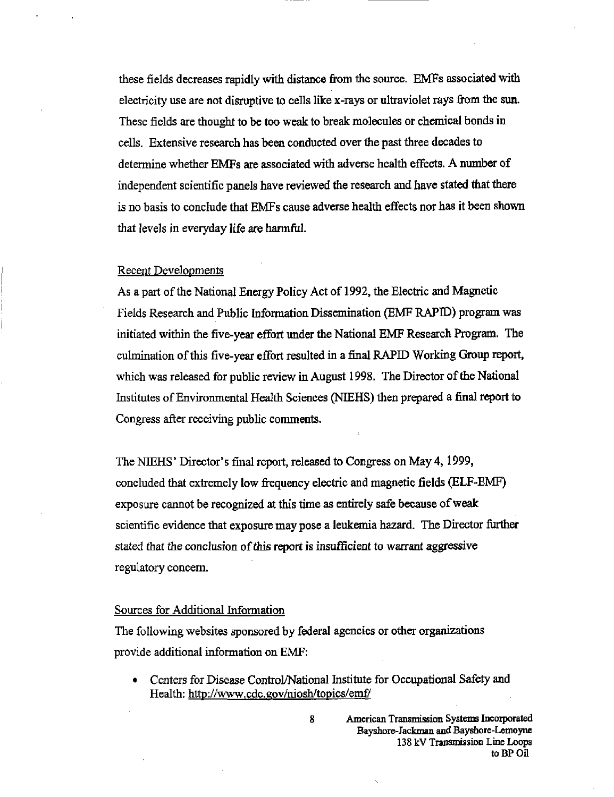these fields decreases rapidly with distance from the source. EMFs associated with electricity use are not disruptive to cells like x-rays or ultraviolet rays from the sun. These fields are thought to be too weak to break molecules or chemical bonds in cells. Extensive research has been conducted over the past three decades to determine whether EMFs are associated with adverse health effects. A number of independent scientific panels have reviewed the research and have stated that there is no basis to conclude that EMFs cause adverse health effects nor has it been shown that levels in everyday life are harmftil.

#### Recent Developments

As a part of the National Energy Policy Act of 1992, the Electric and Magnetic Fields Research and Public Information Dissemination (EMF RAPID) program was initiated within the five-year effort under the National EMF Research Program. The culmination of this five-year effort resulted in a final RAPID Working Group report, which was released for public review in August 1998. The Director of the National Institutes of Environmental Health Sciences (NIEHS) then prepared a final report to Congress after receiving public comments.

The NIEHS' Director's final report, released to Congress on May 4,1999, concluded that extremely low frequency electric and magnetic fields (BLF-EMF) exposure cannot be recognized at this time as entirely safe because of weak scientific evidence that exposure may pose a leukemia hazard. The Director further stated that the conclusion of this report is insufficient to warrant aggressive regulatory concern.

#### Sources for Additional Information

The following websites sponsored by federal agencies or other organizations provide additional information on EMF:

• Centers for Disease Control/National Institute for Occupational Safety and Health: http://www.cdc.gov/niosh/topics/emf/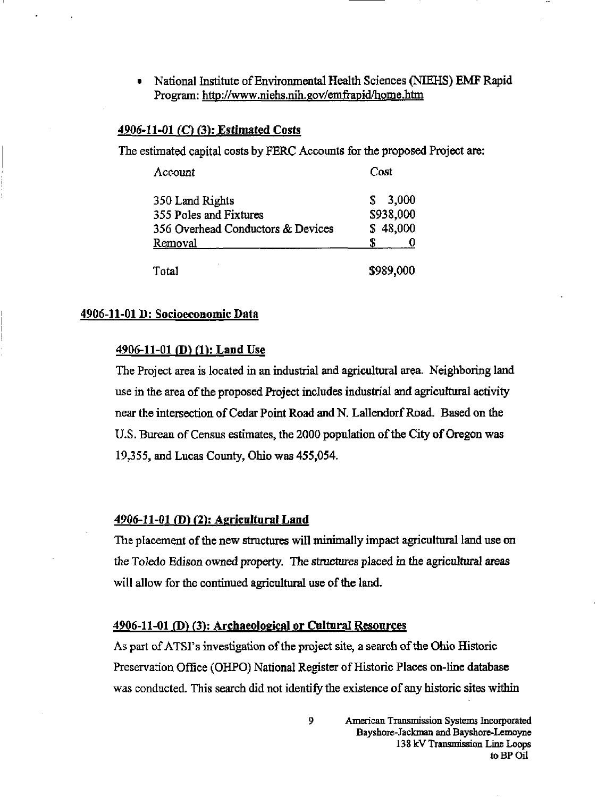• National Institute of Environmental Health Sciences (NIEHS) EMF Rapid Program: http:/[/www.niehs.nih.](http://www.niehs.nih)gov/emfrapid/home.htm

### 4906-11-01 (C) (3): Estimated Costs

The estimated capital costs by FERC Accounts for the proposed Project are:

| Account                           | Cost       |  |
|-----------------------------------|------------|--|
| 350 Land Rights                   | 3,000<br>S |  |
| 355 Poles and Fixtures            | \$938,000  |  |
| 356 Overhead Conductors & Devices | \$48,000   |  |
| Removal                           |            |  |
| Total                             | \$989,000  |  |

#### 4906-11-01 D: Socioeconomic Data

#### 4906-11-01 (D) (1): Land Use

The Project area is located in an industrial and agricultural area. Neighboring land use in the area of the proposed Project includes industrial and agricultural activity near the intersection of Cedar Point Road and N. Lallendorf Road. Based on the U.S. Bureau of Census estimates, the 2000 population of the City of Oregon was 19,355, and Lucas County, Ohio was 455,054.

#### 4906-11-01 (B) (2): Agricultural Land

The placement of the new structures wiU minimally impact agricultural land use on the Toledo Edison owned property. The structures placed in the agricultural areas will allow for the continued agricultural use of the land.

#### 4906-11-01 (D) (3): Archaeological or Cultural Resources

As part of ATSI's investigation of the project site, a search of the Ohio Historic Preservation Office (OHPO) National Register of Historic Places on-line database was conducted. This search did not identify the existence of any historic sites within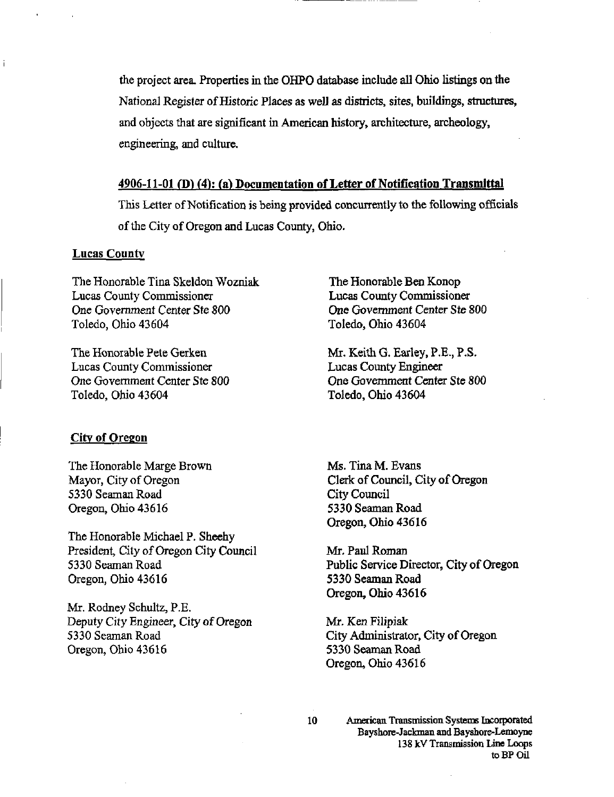the project area. Properties in the OHPO database include all Ohio listings on the National Register of Historic Places as well as districts, sites, buildings, structures, and objects that are significant in American history, architecture, archeology, engineering, and culture.

#### 4906-11-01 (D) (4): (a) Documentation of Letter of Notification Transmittal

This Letter of Notification is being provided concurrently to the following officials of the City of Oregon and Lucas County, Ohio.

#### **Lucas County**

The Honorable Tina Skeldon Wozniak Lucas County Commissioner One Government Center Ste SOO Toledo, Ohio 43604

The Honorable Pete Gerken Lucas County Commissioner One Government Center Ste 800 Toledo, Ohio 43604

#### City of Oregon

The Honorable Marge Brown Mayor, City of Oregon 5330 Seaman Road Oregon, Ohio 43616

The Honorable Michael P. Sheehy President, City of Oregon City Council 5330 Seaman Road Oregon, Ohio 43616

Mr, Rodney Schultz, P.E. Deputy City Engineer, City of Oregon 5330 Seaman Road Oregon, Ohio 43616

The Honorable Ben Konop Lucas County Commissioner One Government Center Ste 800 Toledo, Ohio 43604

Mr. Keith G. Earley, P.E., P.S. Lucas Coimty Engineer One Government Center Ste 800 Toledo, Ohio 43604

Ms. Tina M. Evans Clerk of Council, City of Oregon City Council 5330 Seaman Road Oregon, Ohio 43616

Mr. Paul Roman Public Service Director, City of Oregon 5330 Seaman Road Oregon, Ohio 43616

Mr. Ken Filipiak City Administrator, City of Oregon 5330 Seaman Road Oregon, Ohio 43616

10 American Transmission Systems Incorporated Bayshore-Jackman and Bayshore-Lemoyne 138 kV Transmission Line Loops to BP Oil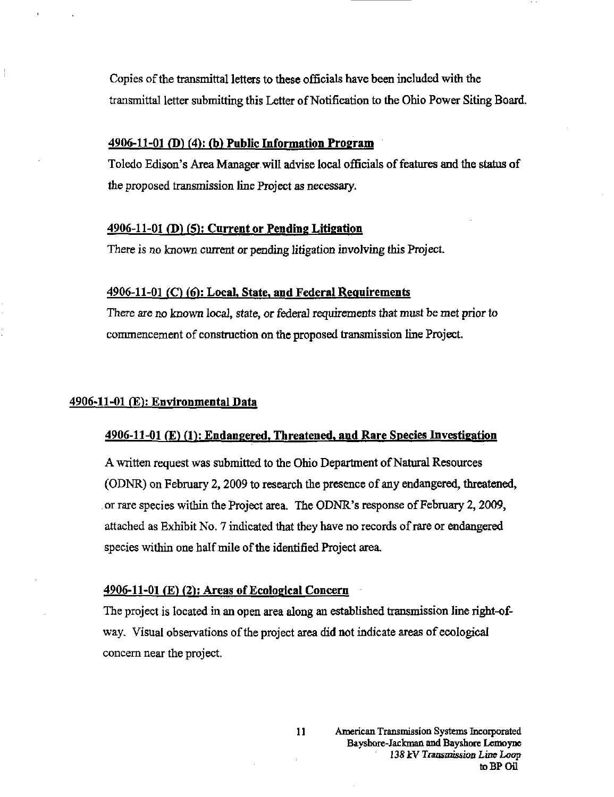Copies of the transmittal letters to these officials have been included with the transmittal letter submitting this Letter of Notification to the Ohio Power Siting Board.

#### $4906-11-01$  (D) (4): (b) Public Information Program

Toledo Edison's Area Manager will advise local officials of features and the status of the proposed transmission line Project as necessary.

#### $4906-11-01$  (D) (5): Current or Pending Litigation

There is no known current or pending litigation involving this Project.

#### $4906-11-01$  (C) (6): Local, State, and Federal Requirements

There are no known local, state, or federal requirements that must be met prior to commencement of construction on the proposed transmission line Project.

#### 4906-11-01 (E): Environmental Data

#### 4906-11-01 (E) (1): Endangered, Threatened, and Rare Species Investigation

A written request was submitted to the Ohio Department of Natural Resources (ODNR) on February 2,2009 to research the presence of any endangered, threatened, or rare species within the Project area. The ODNR's response of February 2,2009, attached as Exhibit No. 7 indicated that they have no records of rare or endangered species within one half mile of the identified Project area.

#### 4906-11-01 (E) (2): Areas of Ecological Concern

The project is located in an open area along an established transmission line right-ofway. Visual observations of the project area did not indicate areas of ecological concern near the project.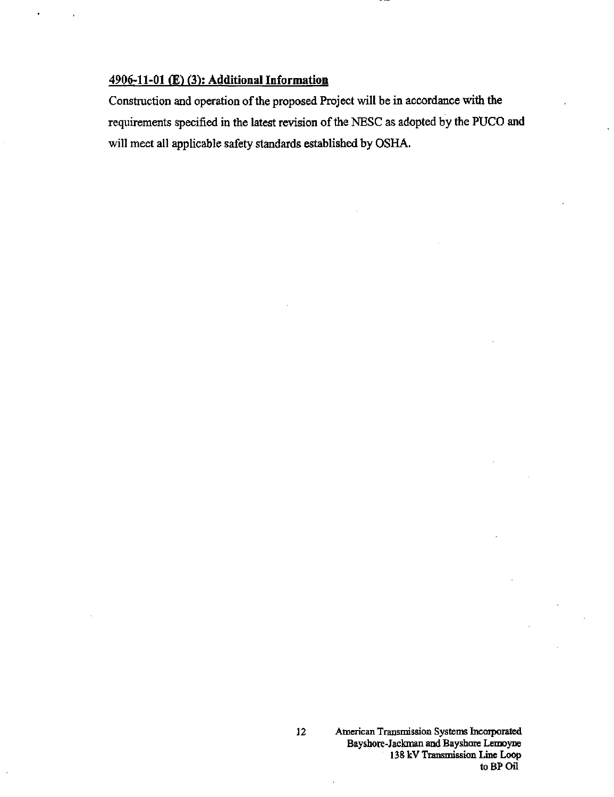## 4906-11-01 (E) (3): Additional Information

Construction and operation of the proposed Project will be in accordance with the requirements specified in the latest revision of the NESC as adopted by the PUCO and will meet all applicable safety standards established by OSHA.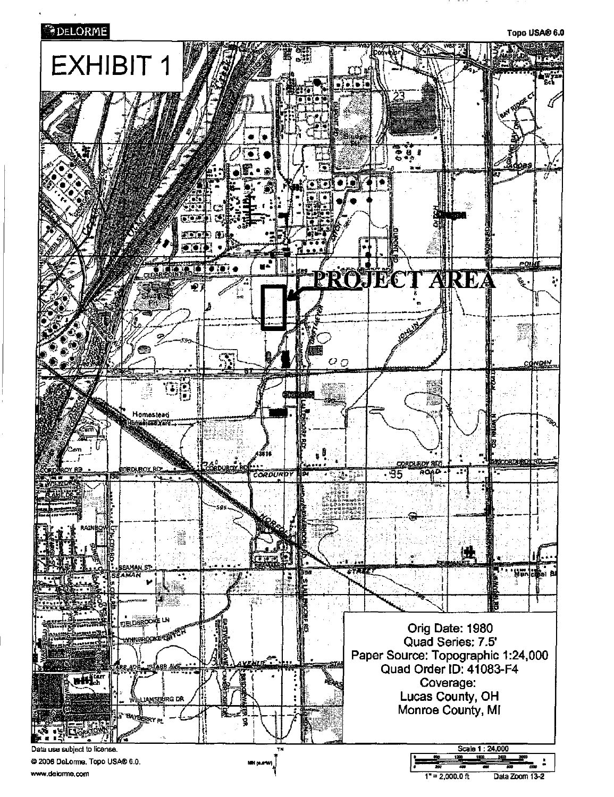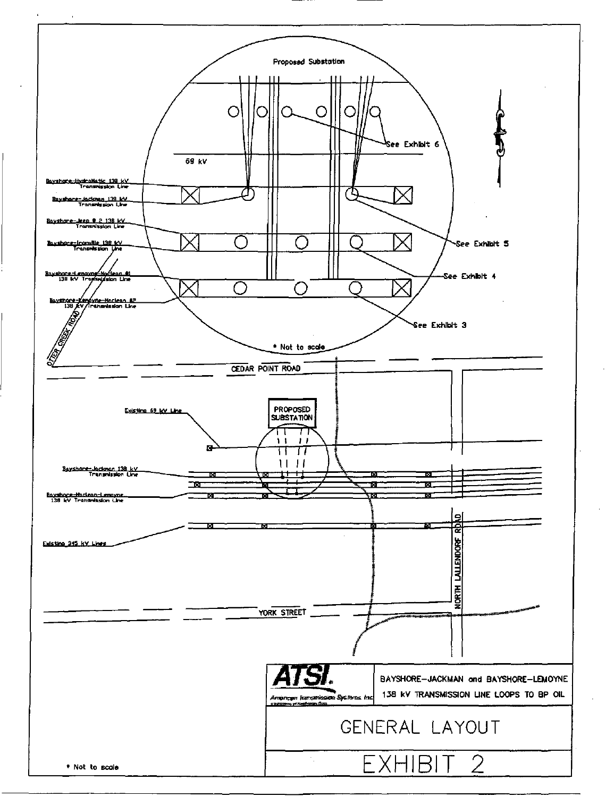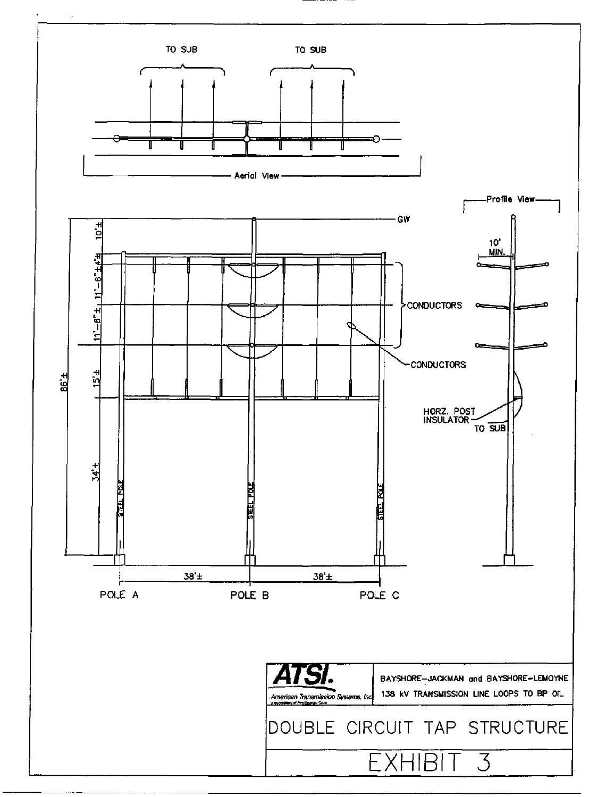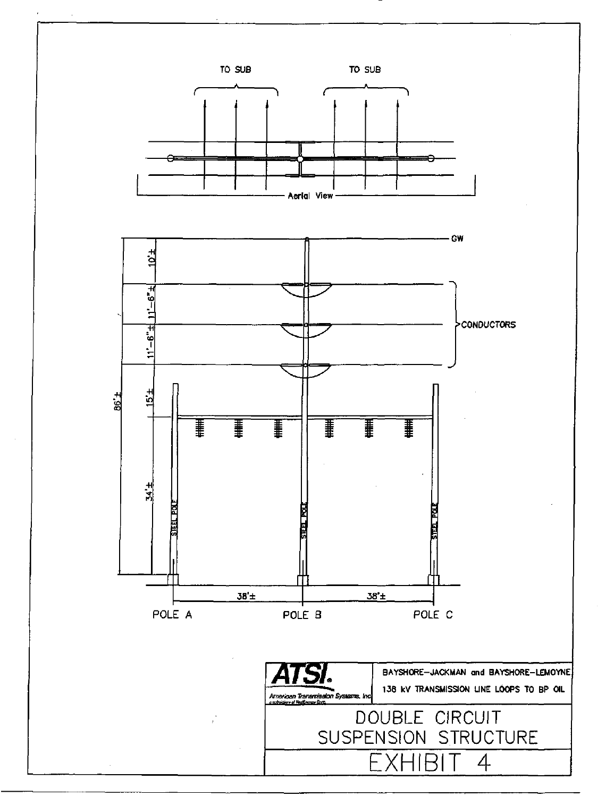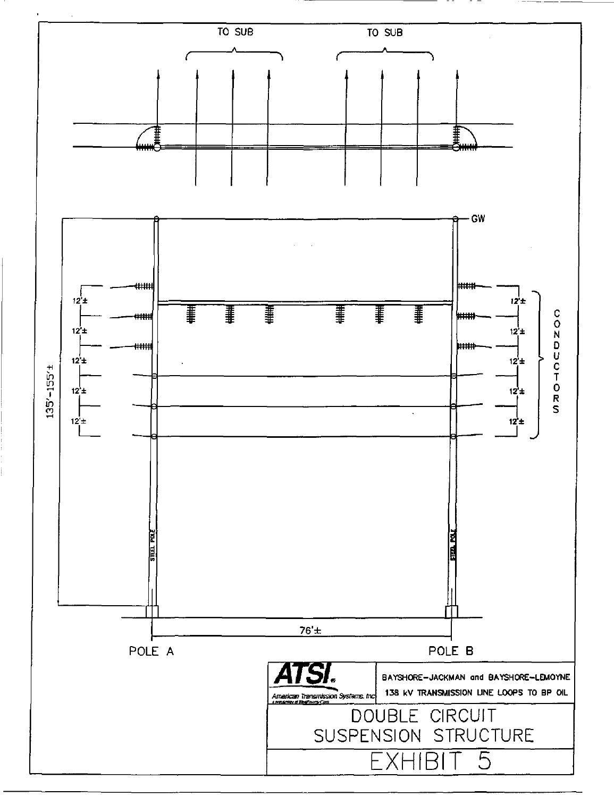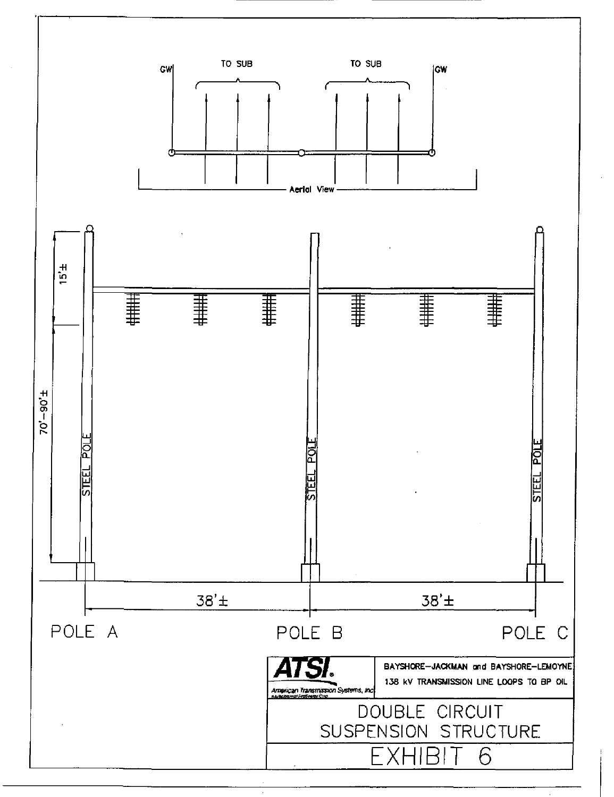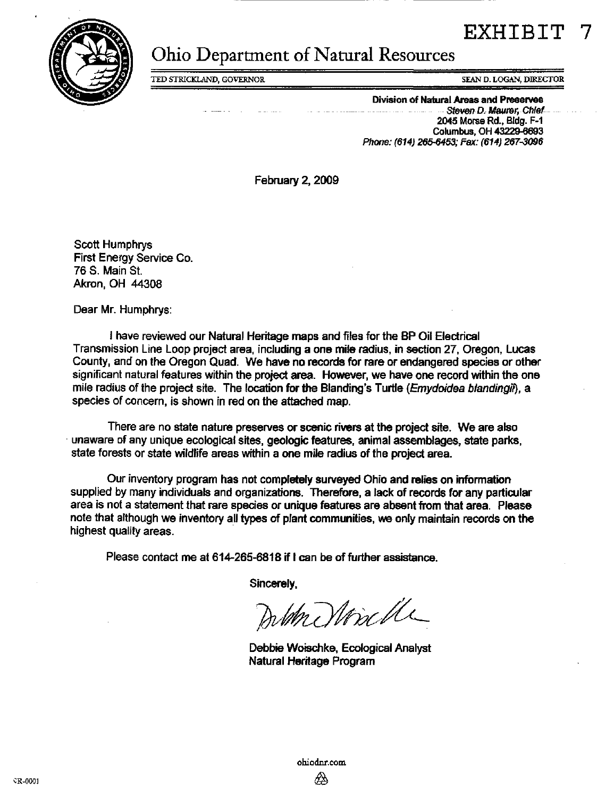



# Ohio Department of Natural Resources

TED STRICKLAND, GOVERNOR SEAN PROGRAM SEAN D. LOGAN, DIRECTOR

Division of Natural Areas and Preserves ... Steven D. Maurer, Chief... 2045 Morse Rd.. BIdg. F-1 Columbus. OH 43229-6693 Phone: (614) 265-6453; Fax: (614) 267-3096

February 2, 2009

Scott Humphrys First Energy Service Co. 76 S. Main St. Akron. OH 44308

Dear Mr. Humphrys:

I have reviewed our Natural Heritage maps and files for the BP Oil Electrical Transmission Line Loop project area, including a one mile radius, in section 27. Oregon, Lucas County, and on the Oregon Quad. We have no records for rare or endangered species or other significant natural features within the project area. However, we have one record within the one mile radius of the project site. The location for the Blanding's Turtle (Emydoidea blandingii), a species of concern, is shown in red on the attached map.

There are no state nature preserves or scenic rivers at the project site. We are also unaware of any unique ecological sites, geologic features, animal assemblages, state parks, state forests or state wildlife areas within a one mile radius of the project area.

Our inventory program has not completely surveyed Ohio and relies on information supplied by many individuals and organizations. Therefore, a lack of records for any particular area is not a statement that rare species or unique features are absent from that area. Please note that although we inventory all types of plant communities, we only maintain records on the highest quality areas.

Please contact me at 614-265-6818 if I can be of further assistance.

Sincerely,

Delth Nonche

Debbie Woischke, Ecological Analyst Natural Heritage Program

[ohiodnr.com](http://ohiodnr.com)